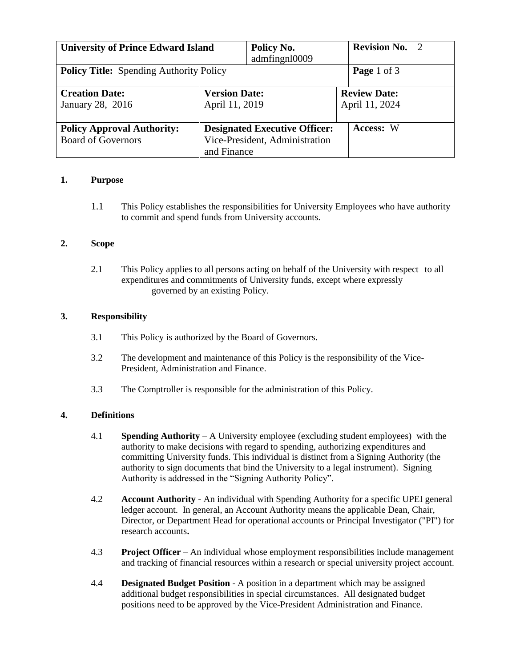| <b>University of Prince Edward Island</b>                      |                                        | Policy No.<br>admfingnl0009                                            |                                       | <b>Revision No. 2</b> |
|----------------------------------------------------------------|----------------------------------------|------------------------------------------------------------------------|---------------------------------------|-----------------------|
| <b>Policy Title:</b> Spending Authority Policy                 |                                        |                                                                        | Page 1 of 3                           |                       |
| <b>Creation Date:</b><br>January 28, 2016                      | <b>Version Date:</b><br>April 11, 2019 |                                                                        | <b>Review Date:</b><br>April 11, 2024 |                       |
| <b>Policy Approval Authority:</b><br><b>Board of Governors</b> | and Finance                            | <b>Designated Executive Officer:</b><br>Vice-President, Administration |                                       | Access: W             |

#### **1. Purpose**

1.1 This Policy establishes the responsibilities for University Employees who have authority to commit and spend funds from University accounts.

### **2. Scope**

2.1 This Policy applies to all persons acting on behalf of the University with respect to all expenditures and commitments of University funds, except where expressly governed by an existing Policy.

### **3. Responsibility**

- 3.1 This Policy is authorized by the Board of Governors.
- 3.2 The development and maintenance of this Policy is the responsibility of the Vice-President, Administration and Finance.
- 3.3 The Comptroller is responsible for the administration of this Policy.

# **4. Definitions**

- 4.1 **Spending Authority** *–* A University employee (excluding student employees) with the authority to make decisions with regard to spending, authorizing expenditures and committing University funds. This individual is distinct from a Signing Authority (the authority to sign documents that bind the University to a legal instrument). Signing Authority is addressed in the "Signing Authority Policy".
- 4.2 **Account Authority** *-* An individual with Spending Authority for a specific UPEI general ledger account. In general, an Account Authority means the applicable Dean, Chair, Director, or Department Head for operational accounts or Principal Investigator ("PI") for research accounts**.**
- 4.3 **Project Officer** An individual whose employment responsibilities include management and tracking of financial resources within a research or special university project account.
- 4.4 **Designated Budget Position** A position in a department which may be assigned additional budget responsibilities in special circumstances. All designated budget positions need to be approved by the Vice-President Administration and Finance.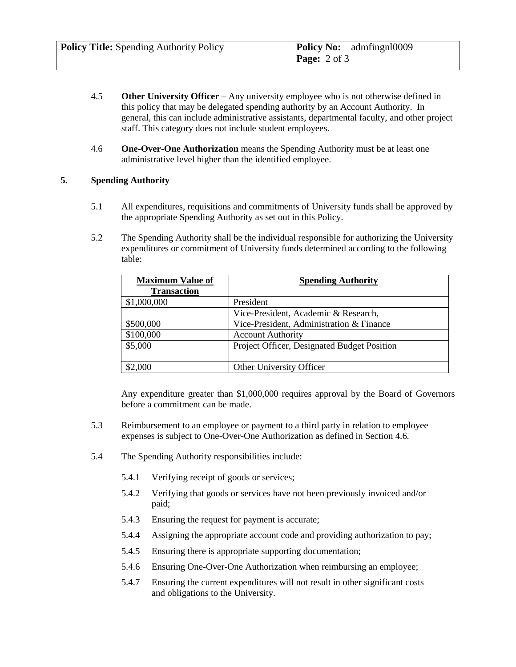- 4.5 **Other University Officer** Any university employee who is not otherwise defined in this policy that may be delegated spending authority by an Account Authority. In general, this can include administrative assistants, departmental faculty, and other project staff. This category does not include student employees.
- 4.6 **One-Over-One Authorization** means the Spending Authority must be at least one administrative level higher than the identified employee.

### **5. Spending Authority**

- 5.1 All expenditures, requisitions and commitments of University funds shall be approved by the appropriate Spending Authority as set out in this Policy.
- 5.2 The Spending Authority shall be the individual responsible for authorizing the University expenditures or commitment of University funds determined according to the following table:

| <b>Maximum Value of</b> | <b>Spending Authority</b>                   |  |
|-------------------------|---------------------------------------------|--|
| <b>Transaction</b>      |                                             |  |
| \$1,000,000             | President                                   |  |
|                         | Vice-President, Academic & Research,        |  |
| \$500,000               | Vice-President, Administration & Finance    |  |
| \$100,000               | <b>Account Authority</b>                    |  |
| \$5,000                 | Project Officer, Designated Budget Position |  |
|                         |                                             |  |
| \$2,000                 | Other University Officer                    |  |

Any expenditure greater than \$1,000,000 requires approval by the Board of Governors before a commitment can be made.

- 5.3 Reimbursement to an employee or payment to a third party in relation to employee expenses is subject to One-Over-One Authorization as defined in Section 4.6.
- 5.4 The Spending Authority responsibilities include:
	- 5.4.1 Verifying receipt of goods or services;
	- 5.4.2 Verifying that goods or services have not been previously invoiced and/or paid;
	- 5.4.3 Ensuring the request for payment is accurate;
	- 5.4.4 Assigning the appropriate account code and providing authorization to pay;
	- 5.4.5 Ensuring there is appropriate supporting documentation;
	- 5.4.6 Ensuring One-Over-One Authorization when reimbursing an employee;
	- 5.4.7 Ensuring the current expenditures will not result in other significant costs and obligations to the University.